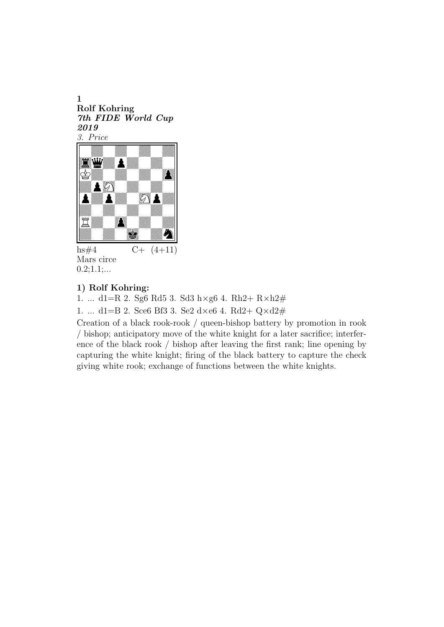1 Rolf Kohring 7th FIDE World Cup 2019 3. Price !



 $hs#4$  C+  $(4+11)$ Mars circe  $0.2;1.1;...$ 

#### 1) Rolf Kohring:

1. ... d1=R 2. Sg6 Rd5 3. Sd3 h×g6 4. Rh2+ R×h2#

1. ... d1=B 2. Sce6 Bf3 3. Se2 d×e6 4. Rd2+  $Q \times d2#$ 

Creation of a black rook-rook / queen-bishop battery by promotion in rook / bishop; anticipatory move of the white knight for a later sacrifice; interference of the black rook / bishop after leaving the first rank; line opening by capturing the white knight; firing of the black battery to capture the check giving white rook; exchange of functions between the white knights.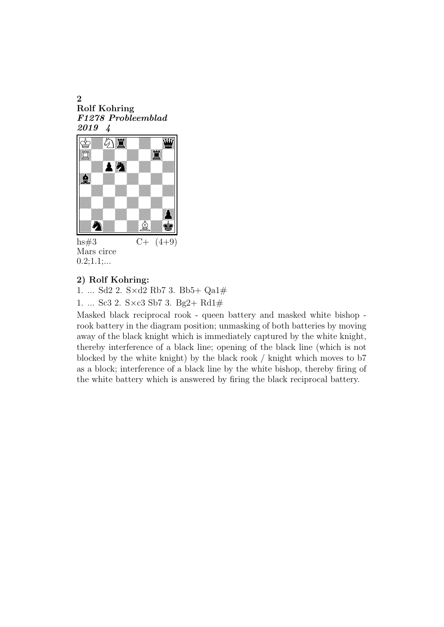2 Rolf Kohring F1278 Probleemblad 2019 4 2<br>Rolf Kohring<br>F1278 Probleemblad<br>2019 4<br>宮徽公園



hs#3  $C+ (4+9)$ Mars circe  $0.2;1.1;...$ 

# 2) Rolf Kohring:

1. ... Sd2 2. S×d2 Rb7 3. Bb5+ Qa1#

1. ... Sc3 2. S×c3 Sb7 3. Bg2+ Rd1#

Masked black reciprocal rook - queen battery and masked white bishop rook battery in the diagram position; unmasking of both batteries by moving away of the black knight which is immediately captured by the white knight, thereby interference of a black line; opening of the black line (which is not blocked by the white knight) by the black rook / knight which moves to b7 as a block; interference of a black line by the white bishop, thereby firing of the white battery which is answered by firing the black reciprocal battery.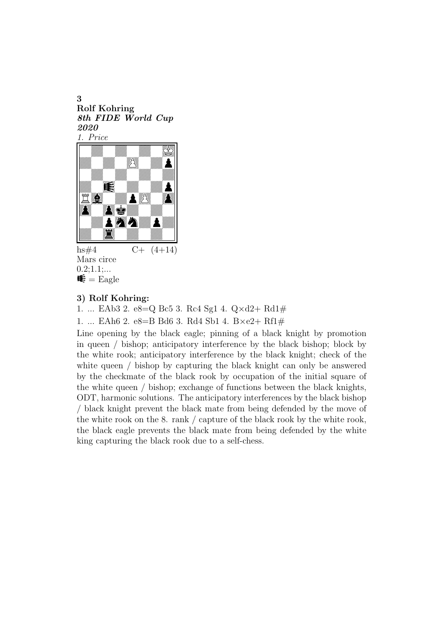3 Rolf Kohring 8th FIDE World Cup 2020 1. Price Rolf Kohring<br>Rolf Kohring<br>2020<br><u>1. Price</u><br>And Manuel Manuel Manuel Strategy<br>And Manuel Manuel Manuel Manuel Manuel



hs#4  $C+ (4+14)$ Mars circe  $0.2;1.1;...$  $\mathbf{\mathcal{F}} = \text{Eagle}$ 

### 3) Rolf Kohring:

1. ... EAb3 2. e8=Q Bc5 3. Rc4 Sg1 4. Q×d2+ Rd1#

1. ... EAh6 2. e8=B Bd6 3. Rd4 Sb1 4. B×e2+ Rf1#

Line opening by the black eagle; pinning of a black knight by promotion in queen / bishop; anticipatory interference by the black bishop; block by the white rook; anticipatory interference by the black knight; check of the white queen / bishop by capturing the black knight can only be answered by the checkmate of the black rook by occupation of the initial square of the white queen / bishop; exchange of functions between the black knights, ODT, harmonic solutions. The anticipatory interferences by the black bishop / black knight prevent the black mate from being defended by the move of the white rook on the 8. rank / capture of the black rook by the white rook, the black eagle prevents the black mate from being defended by the white king capturing the black rook due to a self-chess.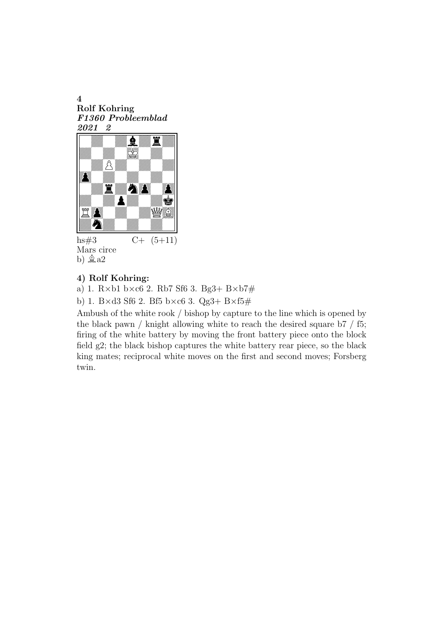4 Rolf Kohring F1360 Probleemblad 2021 2



hs#3  $C+ (5+11)$ Mars circe b)  $\&a2$ 

# 4) Rolf Kohring:

a) 1.  $R \times b1$  b $\times c6$  2. Rb7 Sf6 3. Bg3+ B $\times b7$ #

b) 1. B×d3 Sf6 2. Bf5 b×c6 3. Qg3+ B×f5#

Ambush of the white rook / bishop by capture to the line which is opened by the black pawn / knight allowing white to reach the desired square  $\frac{1}{7}$  f5; firing of the white battery by moving the front battery piece onto the block field g2; the black bishop captures the white battery rear piece, so the black king mates; reciprocal white moves on the first and second moves; Forsberg twin.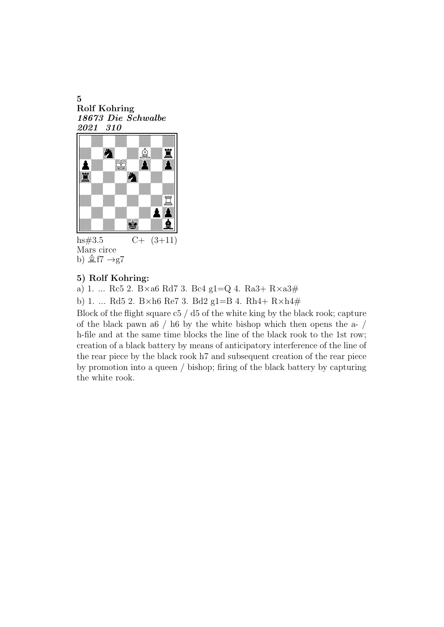5 Rolf Kohring 18673 Die Schwalbe 2021 310 -



hs#3.5  $C+ (3+11)$ Mars circe b)  $\&$  f7  $\rightarrow$ g7

#### 5) Rolf Kohring:

a) 1. ... Rc5 2. B×a6 Rd7 3. Bc4 g1=Q 4. Ra3+ R×a3#

b) 1. ... Rd5 2. B×h6 Re7 3. Bd2 g1=B 4. Rh4+ R×h4#

Block of the flight square c5 / d5 of the white king by the black rook; capture of the black pawn a6 / h6 by the white bishop which then opens the a- / h-file and at the same time blocks the line of the black rook to the 1st row; creation of a black battery by means of anticipatory interference of the line of the rear piece by the black rook h7 and subsequent creation of the rear piece by promotion into a queen / bishop; firing of the black battery by capturing the white rook.